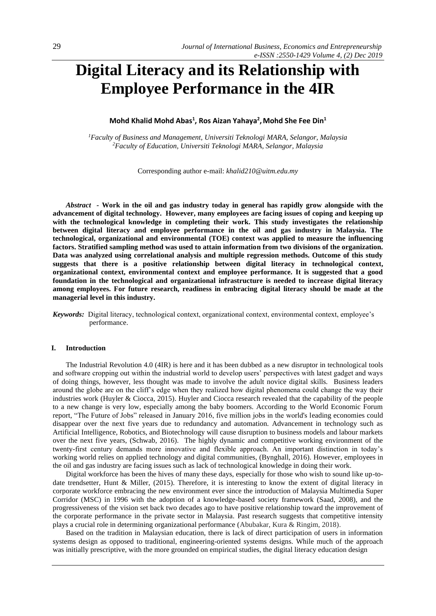# **Digital Literacy and its Relationship with Employee Performance in the 4IR**

# **Mohd Khalid Mohd Abas<sup>1</sup> , Ros Aizan Yahaya<sup>2</sup> ,Mohd She Fee Din<sup>1</sup>**

*<sup>1</sup>Faculty of Business and Management, Universiti Teknologi MARA, Selangor, Malaysia <sup>2</sup>Faculty of Education, Universiti Teknologi MARA, Selangor, Malaysia*

Corresponding author e-mail: *[khalid210@uitm.edu.my](mailto:khalid210@uitm.edu.my)*

*Abstract -* **Work in the oil and gas industry today in general has rapidly grow alongside with the advancement of digital technology. However, many employees are facing issues of coping and keeping up with the technological knowledge in completing their work. This study investigates the relationship between digital literacy and employee performance in the oil and gas industry in Malaysia. The technological, organizational and environmental (TOE) context was applied to measure the influencing factors. Stratified sampling method was used to attain information from two divisions of the organization. Data was analyzed using correlational analysis and multiple regression methods. Outcome of this study suggests that there is a positive relationship between digital literacy in technological context, organizational context, environmental context and employee performance. It is suggested that a good foundation in the technological and organizational infrastructure is needed to increase digital literacy among employees. For future research, readiness in embracing digital literacy should be made at the managerial level in this industry.**

*Keywords:* Digital literacy, technological context, organizational context, environmental context, employee's performance.

## **I. Introduction**

The Industrial Revolution 4.0 (4IR) is here and it has been dubbed as a new disruptor in technological tools and software cropping out within the industrial world to develop users' perspectives with latest gadget and ways of doing things, however, less thought was made to involve the adult novice digital skills. Business leaders around the globe are on the cliff's edge when they realized how digital phenomena could change the way their industries work (Huyler & Ciocca, 2015). Huyler and Ciocca research revealed that the capability of the people to a new change is very low, especially among the baby boomers. According to the World Economic Forum report, "The Future of Jobs" released in January 2016, five million jobs in the world's leading economies could disappear over the next five years due to redundancy and automation. Advancement in technology such as Artificial Intelligence, Robotics, and Biotechnology will cause disruption to business models and labour markets over the next five years, (Schwab, 2016). The highly dynamic and competitive working environment of the twenty-first century demands more innovative and flexible approach. An important distinction in today's working world relies on applied technology and digital communities, (Bynghall, 2016). However, employees in the oil and gas industry are facing issues such as lack of technological knowledge in doing their work.

Digital workforce has been the hives of many these days, especially for those who wish to sound like up-todate trendsetter, Hunt & Miller, (2015). Therefore, it is interesting to know the extent of digital literacy in corporate workforce embracing the new environment ever since the introduction of Malaysia Multimedia Super Corridor (MSC) in 1996 with the adoption of a knowledge-based society framework (Saad, 2008), and the progressiveness of the vision set back two decades ago to have positive relationship toward the improvement of the corporate performance in the private sector in Malaysia. Past research suggests that competitive intensity plays a crucial role in determining organizational performance (Abubakar, Kura & Ringim, 2018).

Based on the tradition in Malaysian education, there is lack of direct participation of users in information systems design as opposed to traditional, engineering-oriented systems designs. While much of the approach was initially prescriptive, with the more grounded on empirical studies, the digital literacy education design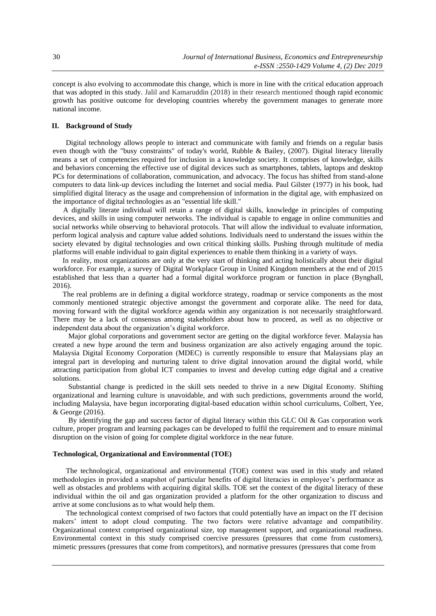concept is also evolving to accommodate this change, which is more in line with the critical education approach that was adopted in this study. Jalil and Kamaruddin (2018) in their research mentioned though rapid economic growth has positive outcome for developing countries whereby the government manages to generate more national income.

# **II. Background of Study**

Digital technology allows people to interact and communicate with family and friends on a regular basis even though with the "busy constraints" of today's world, Rubble & Bailey, (2007). Digital literacy literally means a set of competencies required for inclusion in a knowledge society. It comprises of knowledge, skills and behaviors concerning the effective use of digital devices such as smartphones, tablets, laptops and desktop PCs for determinations of collaboration, communication, and advocacy. The focus has shifted from stand-alone computers to data link-up devices including the Internet and social media. Paul Gilster (1977) in his book, had simplified digital literacy as the usage and comprehension of information in the digital age, with emphasized on the importance of digital technologies as an "essential life skill."

A digitally literate individual will retain a range of digital skills, knowledge in principles of computing devices, and skills in using computer networks. The individual is capable to engage in online communities and social networks while observing to behavioral protocols. That will allow the individual to evaluate information, perform logical analysis and capture value added solutions. Individuals need to understand the issues within the society elevated by digital technologies and own critical thinking skills. Pushing through multitude of media platforms will enable individual to gain digital experiences to enable them thinking in a variety of ways.

In reality, most organizations are only at the very start of thinking and acting holistically about their digital workforce. For example, a survey of Digital Workplace Group in United Kingdom members at the end of 2015 established that less than a quarter had a formal digital workforce program or function in place (Bynghall, 2016).

The real problems are in defining a digital workforce strategy, roadmap or service components as the most commonly mentioned strategic objective amongst the government and corporate alike. The need for data, moving forward with the digital workforce agenda within any organization is not necessarily straightforward. There may be a lack of consensus among stakeholders about how to proceed, as well as no objective or independent data about the organization's digital workforce.

Major global corporations and government sector are getting on the digital workforce fever. Malaysia has created a new hype around the term and business organization are also actively engaging around the topic. Malaysia Digital Economy Corporation (MDEC) is currently responsible to ensure that Malaysians play an integral part in developing and nurturing talent to drive digital innovation around the digital world, while attracting participation from global ICT companies to invest and develop cutting edge digital and a creative solutions.

Substantial change is predicted in the skill sets needed to thrive in a new Digital Economy. Shifting organizational and learning culture is unavoidable, and with such predictions, governments around the world, including Malaysia, have begun incorporating digital-based education within school curriculums, Colbert, Yee, & George (2016).

By identifying the gap and success factor of digital literacy within this GLC Oil  $\&$  Gas corporation work culture, proper program and learning packages can be developed to fulfil the requirement and to ensure minimal disruption on the vision of going for complete digital workforce in the near future.

## **Technological, Organizational and Environmental (TOE)**

The technological, organizational and environmental (TOE) context was used in this study and related methodologies in provided a snapshot of particular benefits of digital literacies in employee's performance as well as obstacles and problems with acquiring digital skills. TOE set the context of the digital literacy of these individual within the oil and gas organization provided a platform for the other organization to discuss and arrive at some conclusions as to what would help them.

The technological context comprised of two factors that could potentially have an impact on the IT decision makers' intent to adopt cloud computing. The two factors were relative advantage and compatibility. Organizational context comprised organizational size, top management support, and organizational readiness. Environmental context in this study comprised coercive pressures (pressures that come from customers), mimetic pressures (pressures that come from competitors), and normative pressures (pressures that come from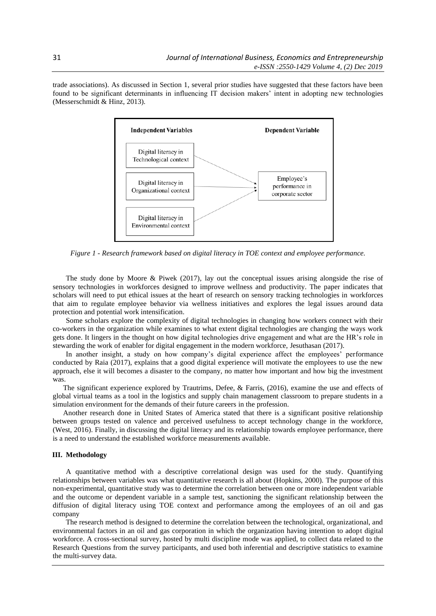trade associations). As discussed in Section 1, several prior studies have suggested that these factors have been found to be significant determinants in influencing IT decision makers' intent in adopting new technologies (Messerschmidt & Hinz, 2013).



*Figure 1 - Research framework based on digital literacy in TOE context and employee performance.*

The study done by Moore & Piwek (2017), lay out the conceptual issues arising alongside the rise of sensory technologies in workforces designed to improve wellness and productivity. The paper indicates that scholars will need to put ethical issues at the heart of research on sensory tracking technologies in workforces that aim to regulate employee behavior via wellness initiatives and explores the legal issues around data protection and potential work intensification.

Some scholars explore the complexity of digital technologies in changing how workers connect with their co-workers in the organization while examines to what extent digital technologies are changing the ways work gets done. It lingers in the thought on how digital technologies drive engagement and what are the HR's role in stewarding the work of enabler for digital engagement in the modern workforce, Jesuthasan (2017).

In another insight, a study on how company's digital experience affect the employees' performance conducted by Raia (2017), explains that a good digital experience will motivate the employees to use the new approach, else it will becomes a disaster to the company, no matter how important and how big the investment was.

The significant experience explored by Trautrims, Defee, & Farris, (2016), examine the use and effects of global virtual teams as a tool in the logistics and supply chain management classroom to prepare students in a simulation environment for the demands of their future careers in the profession.

Another research done in United States of America stated that there is a significant positive relationship between groups tested on valence and perceived usefulness to accept technology change in the workforce, (West, 2016). Finally, in discussing the digital literacy and its relationship towards employee performance, there is a need to understand the established workforce measurements available.

#### **III. Methodology**

A quantitative method with a descriptive correlational design was used for the study. Quantifying relationships between variables was what quantitative research is all about (Hopkins, 2000). The purpose of this non-experimental, quantitative study was to determine the correlation between one or more independent variable and the outcome or dependent variable in a sample test, sanctioning the significant relationship between the diffusion of digital literacy using TOE context and performance among the employees of an oil and gas company

The research method is designed to determine the correlation between the technological, organizational, and environmental factors in an oil and gas corporation in which the organization having intention to adopt digital workforce. A cross-sectional survey, hosted by multi discipline mode was applied, to collect data related to the Research Questions from the survey participants, and used both inferential and descriptive statistics to examine the multi-survey data.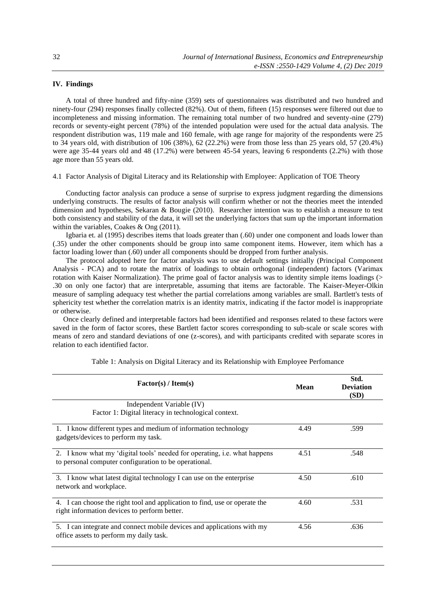# **IV. Findings**

A total of three hundred and fifty-nine (359) sets of questionnaires was distributed and two hundred and ninety-four (294) responses finally collected (82%). Out of them, fifteen (15) responses were filtered out due to incompleteness and missing information. The remaining total number of two hundred and seventy-nine (279) records or seventy-eight percent (78%) of the intended population were used for the actual data analysis. The respondent distribution was, 119 male and 160 female, with age range for majority of the respondents were 25 to 34 years old, with distribution of 106 (38%), 62 (22.2%) were from those less than 25 years old, 57 (20.4%) were age 35-44 years old and 48 (17.2%) were between 45-54 years, leaving 6 respondents (2.2%) with those age more than 55 years old.

# 4.1 Factor Analysis of Digital Literacy and its Relationship with Employee: Application of TOE Theory

Conducting factor analysis can produce a sense of surprise to express judgment regarding the dimensions underlying constructs. The results of factor analysis will confirm whether or not the theories meet the intended dimension and hypotheses, Sekaran & Bougie (2010). Researcher intention was to establish a measure to test both consistency and stability of the data, it will set the underlying factors that sum up the important information within the variables, Coakes & Ong (2011).

Igbaria et. al (1995) describes items that loads greater than (.60) under one component and loads lower than (.35) under the other components should be group into same component items. However, item which has a factor loading lower than (.60) under all components should be dropped from further analysis.

The protocol adopted here for factor analysis was to use default settings initially (Principal Component Analysis - PCA) and to rotate the matrix of loadings to obtain orthogonal (independent) factors (Varimax rotation with Kaiser Normalization). The prime goal of factor analysis was to identity simple items loadings (> .30 on only one factor) that are interpretable, assuming that items are factorable. The Kaiser-Meyer-Olkin measure of sampling adequacy test whether the partial correlations among variables are small. Bartlett's tests of sphericity test whether the correlation matrix is an identity matrix, indicating if the factor model is inappropriate or otherwise.

Once clearly defined and interpretable factors had been identified and responses related to these factors were saved in the form of factor scores, these Bartlett factor scores corresponding to sub-scale or scale scores with means of zero and standard deviations of one (z-scores), and with participants credited with separate scores in relation to each identified factor.

| Factor(s) / Item(s)                                                                                                                | <b>Mean</b> | Std.<br><b>Deviation</b><br>(SD) |  |
|------------------------------------------------------------------------------------------------------------------------------------|-------------|----------------------------------|--|
| Independent Variable (IV)<br>Factor 1: Digital literacy in technological context.                                                  |             |                                  |  |
|                                                                                                                                    |             |                                  |  |
| 1. I know different types and medium of information technology<br>gadgets/devices to perform my task.                              | 4.49        | .599                             |  |
| 2. I know what my 'digital tools' needed for operating, i.e. what happens<br>to personal computer configuration to be operational. | 4.51        | .548                             |  |
| 3. I know what latest digital technology I can use on the enterprise<br>network and workplace.                                     | 4.50        | .610                             |  |
| 4. I can choose the right tool and application to find, use or operate the<br>right information devices to perform better.         | 4.60        | .531                             |  |
| 5. I can integrate and connect mobile devices and applications with my<br>office assets to perform my daily task.                  | 4.56        | .636                             |  |

#### Table 1: Analysis on Digital Literacy and its Relationship with Employee Perfomance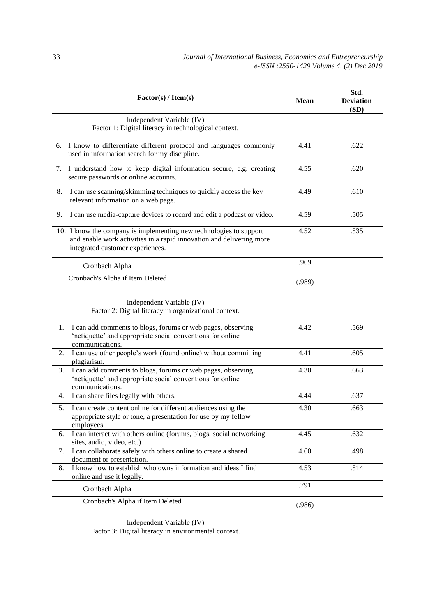| Factor(s) / Item(s)                                                                                                                                                            | <b>Mean</b> | Std.<br><b>Deviation</b><br>(SD) |
|--------------------------------------------------------------------------------------------------------------------------------------------------------------------------------|-------------|----------------------------------|
| Independent Variable (IV)<br>Factor 1: Digital literacy in technological context.                                                                                              |             |                                  |
| 6. I know to differentiate different protocol and languages commonly<br>used in information search for my discipline.                                                          | 4.41        | .622                             |
| 7. I understand how to keep digital information secure, e.g. creating<br>secure passwords or online accounts.                                                                  | 4.55        | .620                             |
| I can use scanning/skimming techniques to quickly access the key<br>8.<br>relevant information on a web page.                                                                  | 4.49        | .610                             |
| I can use media-capture devices to record and edit a podcast or video.<br>9.                                                                                                   | 4.59        | .505                             |
| 10. I know the company is implementing new technologies to support<br>and enable work activities in a rapid innovation and delivering more<br>integrated customer experiences. | 4.52        | .535                             |
| Cronbach Alpha                                                                                                                                                                 | .969        |                                  |
| Cronbach's Alpha if Item Deleted                                                                                                                                               | (.989)      |                                  |
| Independent Variable (IV)<br>Factor 2: Digital literacy in organizational context.                                                                                             |             |                                  |
| I can add comments to blogs, forums or web pages, observing<br>1.<br>'netiquette' and appropriate social conventions for online<br>communications.                             | 4.42        | .569                             |
| I can use other people's work (found online) without committing<br>2.<br>plagiarism.                                                                                           | 4.41        | .605                             |
| I can add comments to blogs, forums or web pages, observing<br>3.<br>'netiquette' and appropriate social conventions for online<br>communications.                             | 4.30        | .663                             |
| I can share files legally with others.<br>4.                                                                                                                                   | 4.44        | .637                             |
| I can create content online for different audiences using the<br>5.<br>appropriate style or tone, a presentation for use by my fellow<br>employees.                            | 4.30        | .663                             |
| I can interact with others online (forums, blogs, social networking<br>6.<br>sites, audio, video, etc.)                                                                        | 4.45        | .632                             |
| I can collaborate safely with others online to create a shared<br>7.<br>document or presentation.                                                                              | 4.60        | .498                             |
| I know how to establish who owns information and ideas I find<br>8.<br>online and use it legally.                                                                              | 4.53        | .514                             |
| Cronbach Alpha                                                                                                                                                                 | .791        |                                  |
| Cronbach's Alpha if Item Deleted                                                                                                                                               | (.986)      |                                  |
|                                                                                                                                                                                |             |                                  |

Independent Variable (IV) Factor 3: Digital literacy in environmental context.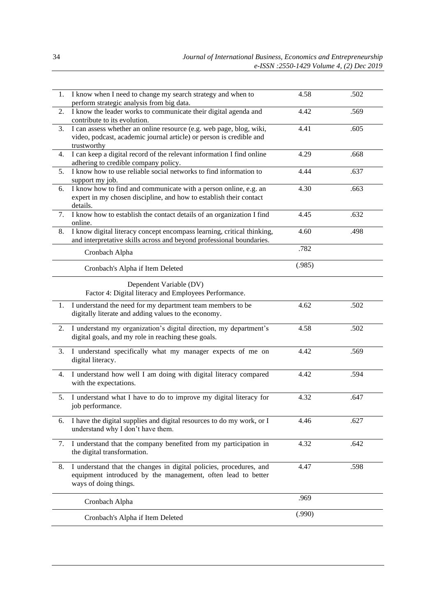| 1. | I know when I need to change my search strategy and when to<br>perform strategic analysis from big data.                                                    | 4.58   | .502 |
|----|-------------------------------------------------------------------------------------------------------------------------------------------------------------|--------|------|
| 2. | I know the leader works to communicate their digital agenda and<br>contribute to its evolution.                                                             | 4.42   | .569 |
| 3. | I can assess whether an online resource (e.g. web page, blog, wiki,<br>video, podcast, academic journal article) or person is credible and<br>trustworthy   | 4.41   | .605 |
| 4. | I can keep a digital record of the relevant information I find online<br>adhering to credible company policy.                                               | 4.29   | .668 |
| 5. | I know how to use reliable social networks to find information to<br>support my job.                                                                        | 4.44   | .637 |
| 6. | I know how to find and communicate with a person online, e.g. an<br>expert in my chosen discipline, and how to establish their contact<br>details.          | 4.30   | .663 |
| 7. | I know how to establish the contact details of an organization I find<br>online.                                                                            | 4.45   | .632 |
| 8. | I know digital literacy concept encompass learning, critical thinking,<br>and interpretative skills across and beyond professional boundaries.              | 4.60   | .498 |
|    | Cronbach Alpha                                                                                                                                              | .782   |      |
|    | Cronbach's Alpha if Item Deleted                                                                                                                            | (.985) |      |
|    | Dependent Variable (DV)<br>Factor 4: Digital literacy and Employees Performance.                                                                            |        |      |
| 1. | I understand the need for my department team members to be<br>digitally literate and adding values to the economy.                                          | 4.62   | .502 |
| 2. | I understand my organization's digital direction, my department's<br>digital goals, and my role in reaching these goals.                                    | 4.58   | .502 |
| 3. | I understand specifically what my manager expects of me on<br>digital literacy.                                                                             | 4.42   | .569 |
| 4. | I understand how well I am doing with digital literacy compared<br>with the expectations.                                                                   | 4.42   | .594 |
| 5. | I understand what I have to do to improve my digital literacy for<br>job performance.                                                                       | 4.32   | .647 |
| 6. | I have the digital supplies and digital resources to do my work, or I<br>understand why I don't have them.                                                  | 4.46   | .627 |
| 7. | I understand that the company benefited from my participation in<br>the digital transformation.                                                             | 4.32   | .642 |
| 8. | I understand that the changes in digital policies, procedures, and<br>equipment introduced by the management, often lead to better<br>ways of doing things. | 4.47   | .598 |
|    | Cronbach Alpha                                                                                                                                              | .969   |      |
|    | Cronbach's Alpha if Item Deleted                                                                                                                            | (.990) |      |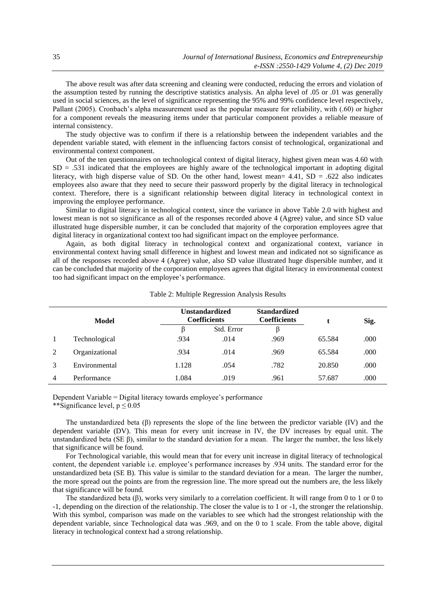The above result was after data screening and cleaning were conducted, reducing the errors and violation of the assumption tested by running the descriptive statistics analysis. An alpha level of .05 or .01 was generally used in social sciences, as the level of significance representing the 95% and 99% confidence level respectively, Pallant (2005). Cronbach's alpha measurement used as the popular measure for reliability, with (.60) or higher for a component reveals the measuring items under that particular component provides a reliable measure of internal consistency.

The study objective was to confirm if there is a relationship between the independent variables and the dependent variable stated, with element in the influencing factors consist of technological, organizational and environmental context component.

Out of the ten questionnaires on technological context of digital literacy, highest given mean was 4.60 with  $SD = .531$  indicated that the employees are highly aware of the technological important in adopting digital literacy, with high disperse value of SD. On the other hand, lowest mean=  $4.41$ , SD = .622 also indicates employees also aware that they need to secure their password properly by the digital literacy in technological context. Therefore, there is a significant relationship between digital literacy in technological context in improving the employee performance.

Similar to digital literacy in technological context, since the variance in above Table 2.0 with highest and lowest mean is not so significance as all of the responses recorded above 4 (Agree) value, and since SD value illustrated huge dispersible number, it can be concluded that majority of the corporation employees agree that digital literacy in organizational context too had significant impact on the employee performance.

Again, as both digital literacy in technological context and organizational context, variance in environmental context having small difference in highest and lowest mean and indicated not so significance as all of the responses recorded above 4 (Agree) value, also SD value illustrated huge dispersible number, and it can be concluded that majority of the corporation employees agrees that digital literacy in environmental context too had significant impact on the employee's performance.

|                | Model          | Unstandardized<br><b>Coefficients</b> |            | <b>Standardized</b><br><b>Coefficients</b> |        | Sig. |
|----------------|----------------|---------------------------------------|------------|--------------------------------------------|--------|------|
|                |                | B                                     | Std. Error | B                                          |        |      |
| $\mathbf{1}$   | Technological  | .934                                  | .014       | .969                                       | 65.584 | .000 |
| 2              | Organizational | .934                                  | .014       | .969                                       | 65.584 | .000 |
| 3              | Environmental  | 1.128                                 | .054       | .782                                       | 20.850 | .000 |
| $\overline{4}$ | Performance    | 1.084                                 | .019       | .961                                       | 57.687 | .000 |

### Table 2: Multiple Regression Analysis Results

Dependent Variable = Digital literacy towards employee's performance \*\*Significance level,  $p \le 0.05$ 

The unstandardized beta  $(\beta)$  represents the slope of the line between the predictor variable (IV) and the dependent variable (DV). This mean for every unit increase in IV, the DV increases by equal unit. The unstandardized beta (SE β), similar to the standard deviation for a mean. The larger the number, the less likely that significance will be found.

For Technological variable, this would mean that for every unit increase in digital literacy of technological content, the dependent variable i.e. employee's performance increases by .934 units. The standard error for the unstandardized beta (SE B). This value is similar to the standard deviation for a mean. The larger the number, the more spread out the points are from the regression line. The more spread out the numbers are, the less likely that significance will be found.

The standardized beta (β), works very similarly to a correlation coefficient. It will range from 0 to 1 or 0 to -1, depending on the direction of the relationship. The closer the value is to 1 or -1, the stronger the relationship. With this symbol, comparison was made on the variables to see which had the strongest relationship with the dependent variable, since Technological data was .969, and on the 0 to 1 scale. From the table above, digital literacy in technological context had a strong relationship.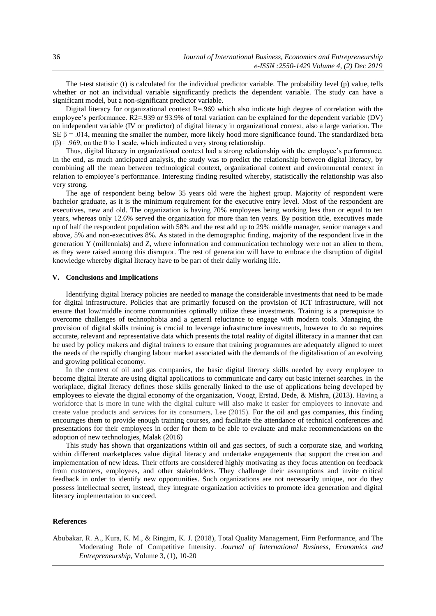The t-test statistic (t) is calculated for the individual predictor variable. The probability level (p) value, tells whether or not an individual variable significantly predicts the dependent variable. The study can have a significant model, but a non-significant predictor variable.

Digital literacy for organizational context  $R=0.969$  which also indicate high degree of correlation with the employee's performance. R2=.939 or 93.9% of total variation can be explained for the dependent variable (DV) on independent variable (IV or predictor) of digital literacy in organizational context, also a large variation. The SE  $\beta$  = .014, meaning the smaller the number, more likely hood more significance found. The standardized beta (β)= .969, on the 0 to 1 scale, which indicated a very strong relationship.

Thus, digital literacy in organizational context had a strong relationship with the employee's performance. In the end, as much anticipated analysis, the study was to predict the relationship between digital literacy, by combining all the mean between technological context, organizational context and environmental context in relation to employee's performance. Interesting finding resulted whereby, statistically the relationship was also very strong.

The age of respondent being below 35 years old were the highest group. Majority of respondent were bachelor graduate, as it is the minimum requirement for the executive entry level. Most of the respondent are executives, new and old. The organization is having 70% employees being working less than or equal to ten years, whereas only 12.6% served the organization for more than ten years. By position title, executives made up of half the respondent population with 58% and the rest add up to 29% middle manager, senior managers and above, 5% and non-executives 8%. As stated in the demographic finding, majority of the respondent live in the generation Y (millennials) and Z, where information and communication technology were not an alien to them, as they were raised among this disruptor. The rest of generation will have to embrace the disruption of digital knowledge whereby digital literacy have to be part of their daily working life.

# **V. Conclusions and Implications**

Identifying digital literacy policies are needed to manage the considerable investments that need to be made for digital infrastructure. Policies that are primarily focused on the provision of ICT infrastructure, will not ensure that low/middle income communities optimally utilize these investments. Training is a prerequisite to overcome challenges of technophobia and a general reluctance to engage with modern tools. Managing the provision of digital skills training is crucial to leverage infrastructure investments, however to do so requires accurate, relevant and representative data which presents the total reality of digital illiteracy in a manner that can be used by policy makers and digital trainers to ensure that training programmes are adequately aligned to meet the needs of the rapidly changing labour market associated with the demands of the digitalisation of an evolving and growing political economy.

In the context of oil and gas companies, the basic digital literacy skills needed by every employee to become digital literate are using digital applications to communicate and carry out basic internet searches. In the workplace, digital literacy defines those skills generally linked to the use of applications being developed by employees to elevate the digital economy of the organization, Voogt, Erstad, Dede, & Mishra, (2013). Having a workforce that is more in tune with the digital culture will also make it easier for employees to innovate and create value products and services for its consumers, Lee (2015). For the oil and gas companies, this finding encourages them to provide enough training courses, and facilitate the attendance of technical conferences and presentations for their employees in order for them to be able to evaluate and make recommendations on the adoption of new technologies, Malak (2016)

This study has shown that organizations within oil and gas sectors, of such a corporate size, and working within different marketplaces value digital literacy and undertake engagements that support the creation and implementation of new ideas. Their efforts are considered highly motivating as they focus attention on feedback from customers, employees, and other stakeholders. They challenge their assumptions and invite critical feedback in order to identify new opportunities. Such organizations are not necessarily unique, nor do they possess intellectual secret, instead, they integrate organization activities to promote idea generation and digital literacy implementation to succeed.

#### **References**

Abubakar, R. A., Kura, K. M., & Ringim, K. J. (2018), Total Quality Management, Firm Performance, and The Moderating Role of Competitive Intensity. *Journal of International Business, Economics and Entrepreneurship,* Volume 3, (1), 10-20